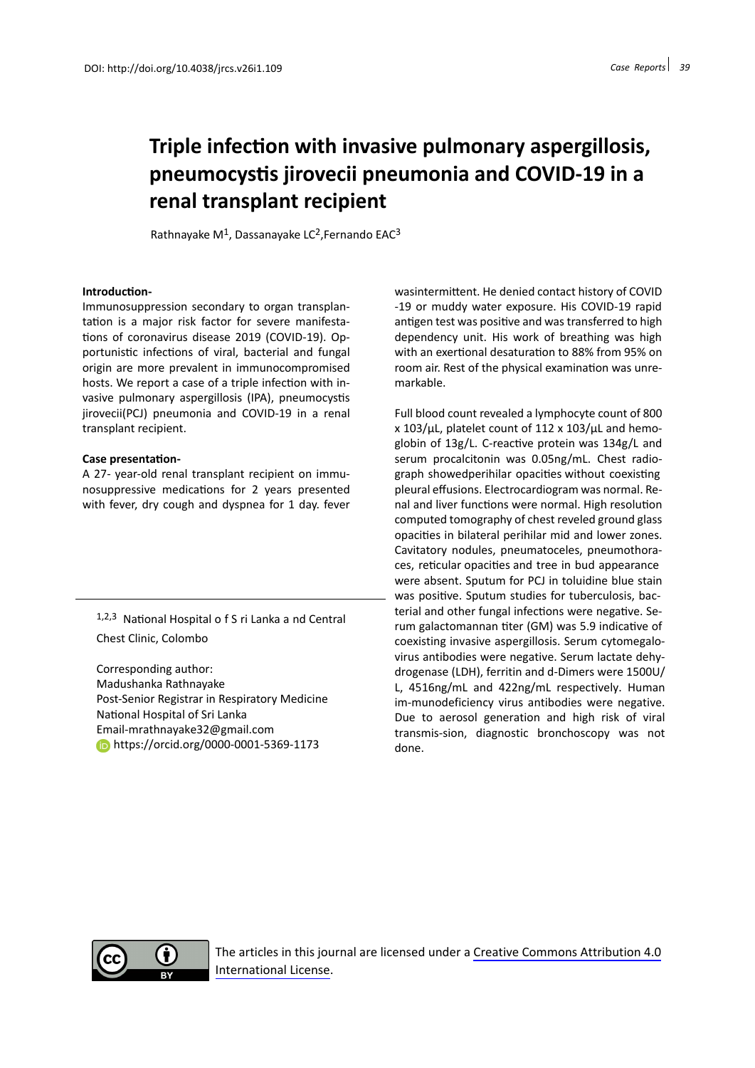# **Triple infection with invasive pulmonary aspergillosis, pneumocystis jirovecii pneumonia and COVID-19 in a renal transplant recipient**

Rathnayake  $M^1$ , Dassanayake LC<sup>2</sup>, Fernando EAC<sup>3</sup>

### **Introduction-**

Immunosuppression secondary to organ transplantation is a major risk factor for severe manifestations of coronavirus disease 2019 (COVID-19). Opportunistic infections of viral, bacterial and fungal origin are more prevalent in immunocompromised hosts. We report a case of a triple infection with invasive pulmonary aspergillosis (IPA), pneumocystis jirovecii(PCJ) pneumonia and COVID-19 in a renal transplant recipient.

### **Case presentation-**

A 27- year-old renal transplant recipient on immunosuppressive medications for 2 years presented with fever, dry cough and dyspnea for 1 day. fever

1,2,3 National Hospital o f S ri Lanka a nd Central Chest Clinic, Colombo

Corresponding author: Madushanka Rathnayake Post-Senior Registrar in Respiratory Medicine National Hospital of Sri Lanka Email-mrathnayake32@gmail.com **https://orcid.org/0000-0001-5369-1173** 

wasintermittent. He denied contact history of COVID -19 or muddy water exposure. His COVID-19 rapid antigen test was positive and was transferred to high dependency unit. His work of breathing was high with an exertional desaturation to 88% from 95% on room air. Rest of the physical examination was unremarkable.

Full blood count revealed a lymphocyte count of 800 x 103/µL, platelet count of 112 x 103/µL and hemoglobin of 13g/L. C-reactive protein was 134g/L and serum procalcitonin was 0.05ng/mL. Chest radiograph showedperihilar opacities without coexisting pleural effusions. Electrocardiogram was normal. Renal and liver functions were normal. High resolution computed tomography of chest reveled ground glass opacities in bilateral perihilar mid and lower zones. Cavitatory nodules, pneumatoceles, pneumothoraces, reticular opacities and tree in bud appearance were absent. Sputum for PCJ in toluidine blue stain was positive. Sputum studies for tuberculosis, bacterial and other fungal infections were negative. Serum galactomannan titer (GM) was 5.9 indicative of coexisting invasive aspergillosis. Serum cytomegalovirus antibodies were negative. Serum lactate dehydrogenase (LDH), ferritin and d-Dimers were 1500U/ L, 4516ng/mL and 422ng/mL respectively. Human im-munodeficiency virus antibodies were negative. Due to aerosol generation and high risk of viral transmis-sion, diagnostic bronchoscopy was not done.



The articles in this journal are licensed under a [Creative Commons Attribution 4.0](https://creativecommons.org/licenses/by/4.0/) [International License](https://creativecommons.org/licenses/by/4.0/).